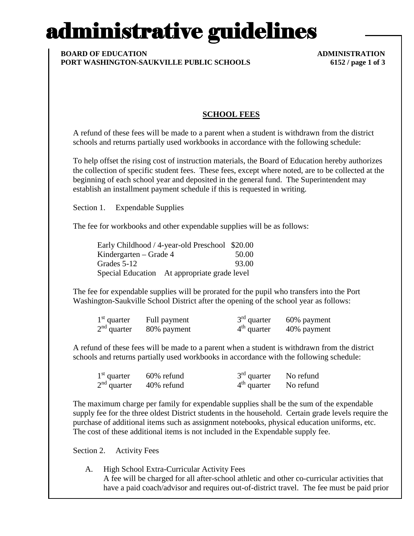# administrative guidelines

#### **BOARD OF EDUCATION ADMINISTRATION PORT WASHINGTON-SAUKVILLE PUBLIC SCHOOLS 6152 / page 1 of 3**

### **SCHOOL FEES**

A refund of these fees will be made to a parent when a student is withdrawn from the district schools and returns partially used workbooks in accordance with the following schedule:

To help offset the rising cost of instruction materials, the Board of Education hereby authorizes the collection of specific student fees. These fees, except where noted, are to be collected at the beginning of each school year and deposited in the general fund. The Superintendent may establish an installment payment schedule if this is requested in writing.

Section 1. Expendable Supplies

The fee for workbooks and other expendable supplies will be as follows:

|                          | Early Childhood / 4-year-old Preschool \$20.00 |       |
|--------------------------|------------------------------------------------|-------|
| Kindergarten – Grade $4$ |                                                | 50.00 |
| Grades 5-12              |                                                | 93.00 |
|                          | Special Education At appropriate grade level   |       |

The fee for expendable supplies will be prorated for the pupil who transfers into the Port Washington-Saukville School District after the opening of the school year as follows:

| $1st$ quarter | Full payment | $3rd$ quarter | 60% payment |
|---------------|--------------|---------------|-------------|
| $2nd$ quarter | 80% payment  | $4th$ quarter | 40% payment |

A refund of these fees will be made to a parent when a student is withdrawn from the district schools and returns partially used workbooks in accordance with the following schedule:

| $1st$ quarter | 60% refund | $3rd$ quarter | No refund |
|---------------|------------|---------------|-----------|
| $2nd$ quarter | 40% refund | $4th$ quarter | No refund |

The maximum charge per family for expendable supplies shall be the sum of the expendable supply fee for the three oldest District students in the household. Certain grade levels require the purchase of additional items such as assignment notebooks, physical education uniforms, etc. The cost of these additional items is not included in the Expendable supply fee.

Section 2. Activity Fees

A. High School Extra-Curricular Activity Fees A fee will be charged for all after-school athletic and other co-curricular activities that have a paid coach/advisor and requires out-of-district travel. The fee must be paid prior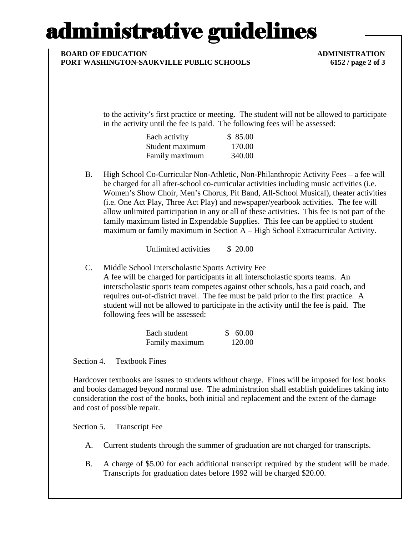## administrative guidelines

### **BOARD OF EDUCATION ADMINISTRATION PORT WASHINGTON-SAUKVILLE PUBLIC SCHOOLS 6152 / page 2 of 3**

to the activity's first practice or meeting. The student will not be allowed to participate in the activity until the fee is paid. The following fees will be assessed:

| Each activity   | \$85.00 |
|-----------------|---------|
| Student maximum | 170.00  |
| Family maximum  | 340.00  |

B. High School Co-Curricular Non-Athletic, Non-Philanthropic Activity Fees – a fee will be charged for all after-school co-curricular activities including music activities (i.e. Women's Show Choir, Men's Chorus, Pit Band, All-School Musical), theater activities (i.e. One Act Play, Three Act Play) and newspaper/yearbook activities. The fee will allow unlimited participation in any or all of these activities. This fee is not part of the family maximum listed in Expendable Supplies. This fee can be applied to student maximum or family maximum in Section A – High School Extracurricular Activity.

Unlimited activities \$ 20.00

C. Middle School Interscholastic Sports Activity Fee A fee will be charged for participants in all interscholastic sports teams. An interscholastic sports team competes against other schools, has a paid coach, and requires out-of-district travel. The fee must be paid prior to the first practice. A student will not be allowed to participate in the activity until the fee is paid. The following fees will be assessed:

| Each student   | \$60.00 |
|----------------|---------|
| Family maximum | 120.00  |

Section 4. Textbook Fines

Hardcover textbooks are issues to students without charge. Fines will be imposed for lost books and books damaged beyond normal use. The administration shall establish guidelines taking into consideration the cost of the books, both initial and replacement and the extent of the damage and cost of possible repair.

Section 5. Transcript Fee

- A. Current students through the summer of graduation are not charged for transcripts.
- B. A charge of \$5.00 for each additional transcript required by the student will be made. Transcripts for graduation dates before 1992 will be charged \$20.00.